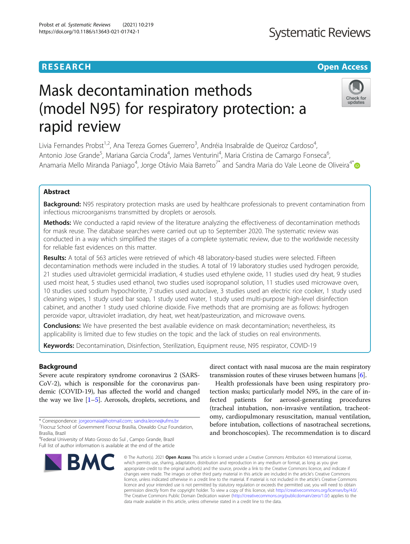### **RESEARCH CHE Open Access**

rapid review

## **Systematic Reviews**

Check for updates

# Mask decontamination methods (model N95) for respiratory protection: a

Livia Fernandes Probst<sup>1,2</sup>, Ana Tereza Gomes Guerrero<sup>3</sup>, Andréia Insabralde de Queiroz Cardoso<sup>4</sup> , Antonio Jose Grande<sup>5</sup>, Mariana Garcia Croda<sup>4</sup>, James Venturini<sup>4</sup>, Maria Cristina de Camargo Fonseca<sup>6</sup> , Anamaria Mello Miranda Paniago<sup>4</sup>, Jorge Otávio Maia Barreto<sup>7\*</sup> and Sandra Maria do Vale Leone de Oliveira<sup>4\*</sup>

#### Abstract

**Background:** N95 respiratory protection masks are used by healthcare professionals to prevent contamination from infectious microorganisms transmitted by droplets or aerosols.

**Methods:** We conducted a rapid review of the literature analyzing the effectiveness of decontamination methods for mask reuse. The database searches were carried out up to September 2020. The systematic review was conducted in a way which simplified the stages of a complete systematic review, due to the worldwide necessity for reliable fast evidences on this matter.

Results: A total of 563 articles were retrieved of which 48 laboratory-based studies were selected. Fifteen decontamination methods were included in the studies. A total of 19 laboratory studies used hydrogen peroxide, 21 studies used ultraviolet germicidal irradiation, 4 studies used ethylene oxide, 11 studies used dry heat, 9 studies used moist heat, 5 studies used ethanol, two studies used isopropanol solution, 11 studies used microwave oven, 10 studies used sodium hypochlorite, 7 studies used autoclave, 3 studies used an electric rice cooker, 1 study used cleaning wipes, 1 study used bar soap, 1 study used water, 1 study used multi-purpose high-level disinfection cabinet, and another 1 study used chlorine dioxide. Five methods that are promising are as follows: hydrogen peroxide vapor, ultraviolet irradiation, dry heat, wet heat/pasteurization, and microwave ovens.

**Conclusions:** We have presented the best available evidence on mask decontamination; nevertheless, its applicability is limited due to few studies on the topic and the lack of studies on real environments.

Keywords: Decontamination, Disinfection, Sterilization, Equipment reuse, N95 respirator, COVID-19

#### Background

Severe acute respiratory syndrome coronavirus 2 (SARS-CoV-2), which is responsible for the coronavirus pandemic (COVID-19), has affected the world and changed the way we live  $[1–5]$  $[1–5]$  $[1–5]$ . Aerosols, droplets, secretions, and

4 Federal University of Mato Grosso do Sul , Campo Grande, Brazil Full list of author information is available at the end of the article



direct contact with nasal mucosa are the main respiratory transmission routes of these viruses between humans [[6\]](#page-7-0).

Health professionals have been using respiratory protection masks; particularly model N95, in the care of infected patients for aerosol-generating procedures (tracheal intubation, non-invasive ventilation, tracheotomy, cardiopulmonary resuscitation, manual ventilation, before intubation, collections of nasotracheal secretions, and bronchoscopies). The recommendation is to discard

© The Author(s), 2021 **Open Access** This article is licensed under a Creative Commons Attribution 4.0 International License, which permits use, sharing, adaptation, distribution and reproduction in any medium or format, as long as you give appropriate credit to the original author(s) and the source, provide a link to the Creative Commons licence, and indicate if changes were made. The images or other third party material in this article are included in the article's Creative Commons licence, unless indicated otherwise in a credit line to the material. If material is not included in the article's Creative Commons licence and your intended use is not permitted by statutory regulation or exceeds the permitted use, you will need to obtain permission directly from the copyright holder. To view a copy of this licence, visit [http://creativecommons.org/licenses/by/4.0/.](http://creativecommons.org/licenses/by/4.0/) The Creative Commons Public Domain Dedication waiver [\(http://creativecommons.org/publicdomain/zero/1.0/](http://creativecommons.org/publicdomain/zero/1.0/)) applies to the data made available in this article, unless otherwise stated in a credit line to the data.

<sup>\*</sup> Correspondence: [jorgeomaia@hotmail.com](mailto:jorgeomaia@hotmail.com); [sandra.leone@ufms.br](mailto:sandra.leone@ufms.br) <sup>7</sup>

Fiocruz School of Government Fiocruz Brasília, Oswaldo Cruz Foundation,

Brasília, Brazil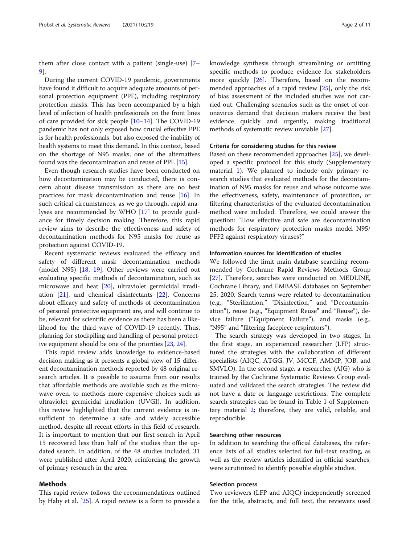them after close contact with a patient (single-use) [[7](#page-7-0)– [9\]](#page-7-0).

During the current COVID-19 pandemic, governments have found it difficult to acquire adequate amounts of personal protection equipment (PPE), including respiratory protection masks. This has been accompanied by a high level of infection of health professionals on the front lines of care provided for sick people [\[10](#page-7-0)–[14](#page-8-0)]. The COVID-19 pandemic has not only exposed how crucial effective PPE is for health professionals, but also exposed the inability of health systems to meet this demand. In this context, based on the shortage of N95 masks, one of the alternatives found was the decontamination and reuse of PPE [\[15](#page-8-0)].

Even though research studies have been conducted on how decontamination may be conducted, there is concern about disease transmission as there are no best practices for mask decontamination and reuse [\[16\]](#page-8-0). In such critical circumstances, as we go through, rapid analyses are recommended by WHO [[17\]](#page-8-0) to provide guidance for timely decision making. Therefore, this rapid review aims to describe the effectiveness and safety of decontamination methods for N95 masks for reuse as protection against COVID-19.

Recent systematic reviews evaluated the efficacy and safety of different mask decontamination methods (model N95) [[18](#page-8-0), [19](#page-8-0)]. Other reviews were carried out evaluating specific methods of decontamination, such as microwave and heat [[20\]](#page-8-0), ultraviolet germicidal irradiation [\[21](#page-8-0)], and chemical disinfectants [[22](#page-8-0)]. Concerns about efficacy and safety of methods of decontamination of personal protective equipment are, and will continue to be, relevant for scientific evidence as there has been a likelihood for the third wave of COVID-19 recently. Thus, planning for stockpiling and handling of personal protective equipment should be one of the priorities [\[23,](#page-8-0) [24](#page-8-0)].

This rapid review adds knowledge to evidence-based decision making as it presents a global view of 15 different decontamination methods reported by 48 original research articles. It is possible to assume from our results that affordable methods are available such as the microwave oven, to methods more expensive choices such as ultraviolet germicidal irradiation (UVGI). In addition, this review highlighted that the current evidence is insufficient to determine a safe and widely accessible method, despite all recent efforts in this field of research. It is important to mention that our first search in April 15 recovered less than half of the studies than the updated search. In addition, of the 48 studies included, 31 were published after April 2020, reinforcing the growth of primary research in the area.

#### Methods

This rapid review follows the recommendations outlined by Haby et al. [[25](#page-8-0)]. A rapid review is a form to provide a knowledge synthesis through streamlining or omitting specific methods to produce evidence for stakeholders more quickly [[26\]](#page-8-0). Therefore, based on the recommended approaches of a rapid review  $[25]$  $[25]$  $[25]$ , only the risk of bias assessment of the included studies was not carried out. Challenging scenarios such as the onset of coronavirus demand that decision makers receive the best evidence quickly and urgently, making traditional methods of systematic review unviable [[27](#page-8-0)].

#### Criteria for considering studies for this review

Based on these recommended approaches [[25\]](#page-8-0), we developed a specific protocol for this study (Supplementary material [1](#page-7-0)). We planned to include only primary research studies that evaluated methods for the decontamination of N95 masks for reuse and whose outcome was the effectiveness, safety, maintenance of protection, or filtering characteristics of the evaluated decontamination method were included. Therefore, we could answer the question: "How effective and safe are decontamination methods for respiratory protection masks model N95/ PFF2 against respiratory viruses?"

#### Information sources for identification of studies

We followed the limit main database searching recommended by Cochrane Rapid Reviews Methods Group [[27\]](#page-8-0). Therefore, searches were conducted on MEDLINE, Cochrane Library, and EMBASE databases on September 25, 2020. Search terms were related to decontamination (e.g., "Sterilization," "Disinfection," and "Decontamination"), reuse (e.g., "Equipment Reuse" and "Reuse"), device failure ("Equipment Failure"), and masks (e.g., "N95" and "filtering facepiece respirators").

The search strategy was developed in two stages. In the first stage, an experienced researcher (LFP) structured the strategies with the collaboration of different specialists (AIQC, ATGG, JV, MCCF, AMMP, JOB, and SMVLO). In the second stage, a researcher (AJG) who is trained by the Cochrane Systematic Reviews Group evaluated and validated the search strategies. The review did not have a date or language restrictions. The complete search strategies can be found in Table 1 of Supplementary material [2;](#page-7-0) therefore, they are valid, reliable, and reproducible.

#### Searching other resources

In addition to searching the official databases, the reference lists of all studies selected for full-text reading, as well as the review articles identified in official searches, were scrutinized to identify possible eligible studies.

#### Selection process

Two reviewers (LFP and AIQC) independently screened for the title, abstracts, and full text, the reviewers used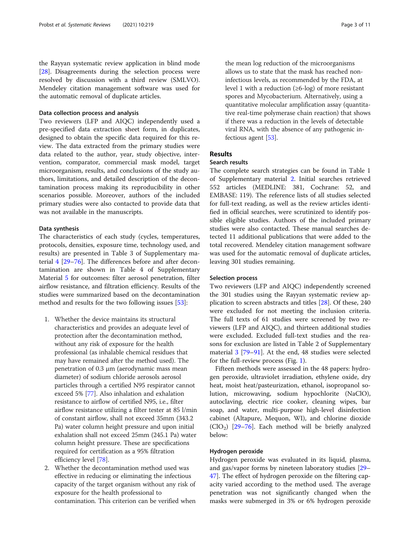the Rayyan systematic review application in blind mode [[28\]](#page-8-0). Disagreements during the selection process were resolved by discussion with a third review (SMLVO). Mendeley citation management software was used for the automatic removal of duplicate articles.

#### Data collection process and analysis

Two reviewers (LFP and AIQC) independently used a pre-specified data extraction sheet form, in duplicates, designed to obtain the specific data required for this review. The data extracted from the primary studies were data related to the author, year, study objective, intervention, comparator, commercial mask model, target microorganism, results, and conclusions of the study authors, limitations, and detailed description of the decontamination process making its reproducibility in other scenarios possible. Moreover, authors of the included primary studies were also contacted to provide data that was not available in the manuscripts.

#### Data synthesis

The characteristics of each study (cycles, temperatures, protocols, densities, exposure time, technology used, and results) are presented in Table 3 of Supplementary material [4](#page-7-0) [\[29](#page-8-0)–[76\]](#page-9-0). The differences before and after decontamination are shown in Table 4 of Supplementary Material [5](#page-7-0) for outcomes: filter aerosol penetration, filter airflow resistance, and filtration efficiency. Results of the studies were summarized based on the decontamination method and results for the two following issues [[53](#page-9-0)]:

- 1. Whether the device maintains its structural characteristics and provides an adequate level of protection after the decontamination method, without any risk of exposure for the health professional (as inhalable chemical residues that may have remained after the method used). The penetration of 0.3 μm (aerodynamic mass mean diameter) of sodium chloride aerosols aerosol particles through a certified N95 respirator cannot exceed 5% [[77\]](#page-9-0). Also inhalation and exhalation resistance to airflow of certified N95, i.e., filter airflow resistance utilizing a filter tester at 85 l/min of constant airflow, shall not exceed 35mm (343.2 Pa) water column height pressure and upon initial exhalation shall not exceed 25mm (245.1 Pa) water column height pressure. These are specifications required for certification as a 95% filtration efficiency level [[78](#page-9-0)].
- 2. Whether the decontamination method used was effective in reducing or eliminating the infectious capacity of the target organism without any risk of exposure for the health professional to contamination. This criterion can be verified when

the mean log reduction of the microorganisms allows us to state that the mask has reached noninfectious levels, as recommended by the FDA, at level 1 with a reduction  $(\geq 6$ -log) of more resistant spores and Mycobacterium. Alternatively, using a quantitative molecular amplification assay (quantitative real-time polymerase chain reaction) that shows if there was a reduction in the levels of detectable viral RNA, with the absence of any pathogenic infectious agent [\[53\]](#page-9-0).

#### Results

#### Search results

The complete search strategies can be found in Table 1 of Supplementary material [2](#page-7-0). Initial searches retrieved 552 articles (MEDLINE: 381, Cochrane: 52, and EMBASE: 119). The reference lists of all studies selected for full-text reading, as well as the review articles identified in official searches, were scrutinized to identify possible eligible studies. Authors of the included primary studies were also contacted. These manual searches detected 11 additional publications that were added to the total recovered. Mendeley citation management software was used for the automatic removal of duplicate articles, leaving 301 studies remaining.

#### Selection process

Two reviewers (LFP and AIQC) independently screened the 301 studies using the Rayyan systematic review application to screen abstracts and titles [\[28\]](#page-8-0). Of these, 240 were excluded for not meeting the inclusion criteria. The full texts of 61 studies were screened by two reviewers (LFP and AIQC), and thirteen additional studies were excluded. Excluded full-text studies and the reasons for exclusion are listed in Table 2 of Supplementary material [3](#page-7-0) [\[79](#page-9-0)–[91\]](#page-10-0). At the end, 48 studies were selected for the full-review process (Fig. [1](#page-3-0)).

Fifteen methods were assessed in the 48 papers: hydrogen peroxide, ultraviolet irradiation, ethylene oxide, dry heat, moist heat/pasteurization, ethanol, isopropanol solution, microwaving, sodium hypochlorite (NaClO), autoclaving, electric rice cooker, cleaning wipes, bar soap, and water, multi-purpose high-level disinfection cabinet (Altapure, Mequon, WI), and chlorine dioxide  $(CIO<sub>2</sub>)$  [\[29](#page-8-0)–[76\]](#page-9-0). Each method will be briefly analyzed below:

#### Hydrogen peroxide

Hydrogen peroxide was evaluated in its liquid, plasma, and gas/vapor forms by nineteen laboratory studies [[29](#page-8-0)– [47\]](#page-8-0). The effect of hydrogen peroxide on the filtering capacity varied according to the method used. The average penetration was not significantly changed when the masks were submerged in 3% or 6% hydrogen peroxide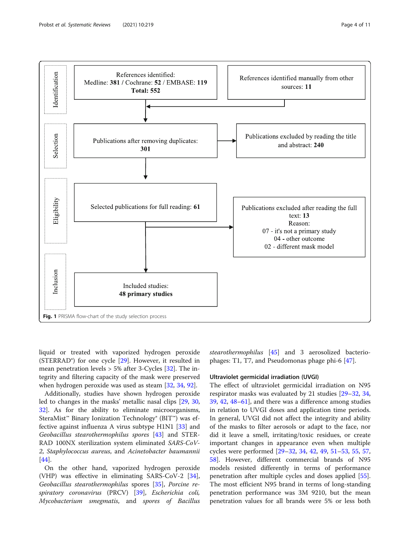

<span id="page-3-0"></span>

liquid or treated with vaporized hydrogen peroxide (STERRAD®) for one cycle [[29\]](#page-8-0). However, it resulted in mean penetration levels > 5% after 3-Cycles [[32\]](#page-8-0). The integrity and filtering capacity of the mask were preserved when hydrogen peroxide was used as steam [[32,](#page-8-0) [34,](#page-8-0) [92\]](#page-10-0).

Additionally, studies have shown hydrogen peroxide led to changes in the masks' metallic nasal clips [\[29,](#page-8-0) [30](#page-8-0), [32\]](#page-8-0). As for the ability to eliminate microorganisms, SteraMist™ Binary Ionization Technology® (BIT™) was effective against influenza A virus subtype H1N1 [\[33\]](#page-8-0) and Geobacillus stearothermophilus spores [\[43\]](#page-8-0) and STER-RAD 100NX sterilization system eliminated SARS-CoV-2, Staphylococcus aureus, and Acinetobacter baumannii [[44\]](#page-8-0).

On the other hand, vaporized hydrogen peroxide (VHP) was effective in eliminating SARS-CoV-2 [\[34](#page-8-0)], Geobacillus stearothermophilus spores [[35\]](#page-8-0), Porcine respiratory coronavirus (PRCV) [[39](#page-8-0)], Escherichia coli, Mycobacterium smegmatis, and spores of Bacillus stearothermophilus [\[45](#page-8-0)] and 3 aerosolized bacteriophages: T1, T7, and Pseudomonas phage phi-6 [[47](#page-8-0)].

#### Ultraviolet germicidal irradiation (UVGI)

The effect of ultraviolet germicidal irradiation on N95 respirator masks was evaluated by 21 studies [[29](#page-8-0)–[32](#page-8-0), [34](#page-8-0), [39,](#page-8-0) [42,](#page-8-0) [48](#page-8-0)–[61](#page-9-0)], and there was a difference among studies in relation to UVGI doses and application time periods. In general, UVGI did not affect the integrity and ability of the masks to filter aerosols or adapt to the face, nor did it leave a smell, irritating/toxic residues, or create important changes in appearance even when multiple cycles were performed [[29](#page-8-0)–[32](#page-8-0), [34,](#page-8-0) [42,](#page-8-0) [49,](#page-9-0) [51](#page-9-0)–[53,](#page-9-0) [55](#page-9-0), [57](#page-9-0), [58\]](#page-9-0). However, different commercial brands of N95 models resisted differently in terms of performance penetration after multiple cycles and doses applied [\[55](#page-9-0)]. The most efficient N95 brand in terms of long-standing penetration performance was 3M 9210, but the mean penetration values for all brands were 5% or less both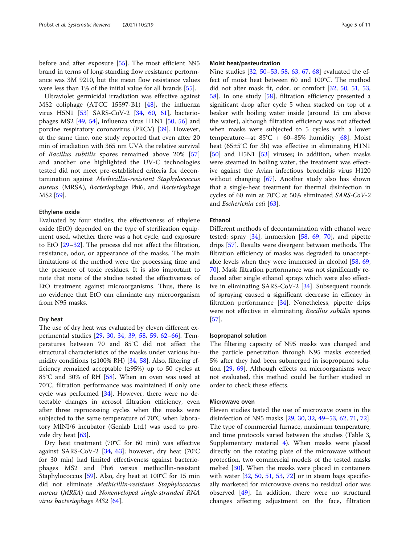before and after exposure [\[55](#page-9-0)]. The most efficient N95 brand in terms of long-standing flow resistance performance was 3M 9210, but the mean flow resistance values were less than 1% of the initial value for all brands [\[55\]](#page-9-0).

Ultraviolet germicidal irradiation was effective against MS2 coliphage (ATCC 15597-B1) [\[48](#page-8-0)], the influenza virus H5N1 [\[53](#page-9-0)] SARS-CoV-2 [[34](#page-8-0), [60](#page-9-0), [61\]](#page-9-0), bacteriophages MS2 [[49,](#page-9-0) [54](#page-9-0)], influenza virus H1N1 [\[50](#page-9-0), [56\]](#page-9-0) and porcine respiratory coronavirus (PRCV) [\[39](#page-8-0)]. However, at the same time, one study reported that even after 20 min of irradiation with 365 nm UVA the relative survival of Bacillus subtilis spores remained above 20% [\[57](#page-9-0)] and another one highlighted the UV-C technologies tested did not meet pre-established criteria for decontamination against Methicillin-resistant Staphylococcus aureus (MRSA), Bacteriophage Phi6, and Bacteriophage MS2 [\[59\]](#page-9-0).

#### Ethylene oxide

Evaluated by four studies, the effectiveness of ethylene oxide (EtO) depended on the type of sterilization equipment used, whether there was a hot cycle, and exposure to EtO [[29](#page-8-0)–[32\]](#page-8-0). The process did not affect the filtration, resistance, odor, or appearance of the masks. The main limitations of the method were the processing time and the presence of toxic residues. It is also important to note that none of the studies tested the effectiveness of EtO treatment against microorganisms. Thus, there is no evidence that EtO can eliminate any microorganism from N95 masks.

#### Dry heat

The use of dry heat was evaluated by eleven different experimental studies [\[29](#page-8-0), [30,](#page-8-0) [34,](#page-8-0) [39](#page-8-0), [58,](#page-9-0) [59](#page-9-0), [62](#page-9-0)–[66\]](#page-9-0). Temperatures between 70 and 85°C did not affect the structural characteristics of the masks under various humidity conditions  $(\leq 100\% \text{ RH})$  [[34,](#page-8-0) [58\]](#page-9-0). Also, filtering efficiency remained acceptable (≥95%) up to 50 cycles at 85°C and 30% of RH [[58\]](#page-9-0). When an oven was used at 70°C, filtration performance was maintained if only one cycle was performed [[34\]](#page-8-0). However, there were no detectable changes in aerosol filtration efficiency, even after three reprocessing cycles when the masks were subjected to the same temperature of 70°C when laboratory MINI/6 incubator (Genlab Ltd.) was used to provide dry heat [[63\]](#page-9-0).

Dry heat treatment (70°C for 60 min) was effective against SARS-CoV-2 [\[34,](#page-8-0) [63](#page-9-0)]; however, dry heat (70°C for 30 min) had limited effectiveness against bacteriophages MS2 and Phi6 versus methicillin-resistant Staphylococcus [\[59\]](#page-9-0). Also, dry heat at 100°C for 15 min did not eliminate Methicillin-resistant Staphylococcus aureus (MRSA) and Nonenveloped single-stranded RNA virus bacteriophage MS2 [\[64](#page-9-0)].

#### Moist heat/pasteurization

Nine studies [\[32](#page-8-0), [50](#page-9-0)–[53](#page-9-0), [58](#page-9-0), [63](#page-9-0), [67,](#page-9-0) [68\]](#page-9-0) evaluated the effect of moist heat between 60 and 100°C. The method did not alter mask fit, odor, or comfort [[32,](#page-8-0) [50,](#page-9-0) [51](#page-9-0), [53](#page-9-0), [58\]](#page-9-0). In one study [\[58\]](#page-9-0), filtration efficiency presented a significant drop after cycle 5 when stacked on top of a beaker with boiling water inside (around 15 cm above the water), although filtration efficiency was not affected when masks were subjected to 5 cycles with a lower temperature—at  $85^{\circ}C + 60-85\%$  humidity [[68](#page-9-0)]. Moist heat (65±5°C for 3h) was effective in eliminating H1N1 [[50\]](#page-9-0) and H5N1 [\[53](#page-9-0)] viruses; in addition, when masks were steamed in boiling water, the treatment was effective against the Avian infectious bronchitis virus H120 without changing [\[67](#page-9-0)]. Another study also has shown that a single-heat treatment for thermal disinfection in cycles of 60 min at 70°C at 50% eliminated SARS-CoV-2 and Escherichia coli [[63\]](#page-9-0).

#### Ethanol

Different methods of decontamination with ethanol were tested: spray  $[34]$  $[34]$ , immersion  $[58, 69, 70]$  $[58, 69, 70]$  $[58, 69, 70]$  $[58, 69, 70]$  $[58, 69, 70]$  $[58, 69, 70]$ , and pipette drips [\[57](#page-9-0)]. Results were divergent between methods. The filtration efficiency of masks was degraded to unacceptable levels when they were immersed in alcohol [\[58,](#page-9-0) [69](#page-9-0), [70\]](#page-9-0). Mask filtration performance was not significantly reduced after single ethanol sprays which were also effective in eliminating SARS-CoV-2 [[34\]](#page-8-0). Subsequent rounds of spraying caused a significant decrease in efficacy in filtration performance [\[34](#page-8-0)]. Nonetheless, pipette drips were not effective in eliminating Bacillus subtilis spores [[57\]](#page-9-0).

#### Isopropanol solution

The filtering capacity of N95 masks was changed and the particle penetration through N95 masks exceeded 5% after they had been submerged in isopropanol solution [\[29,](#page-8-0) [69\]](#page-9-0). Although effects on microorganisms were not evaluated, this method could be further studied in order to check these effects.

#### Microwave oven

Eleven studies tested the use of microwave ovens in the disinfection of N95 masks [[29,](#page-8-0) [30,](#page-8-0) [32,](#page-8-0) [49](#page-9-0)–[53](#page-9-0), [62](#page-9-0), [71](#page-9-0), [72](#page-9-0)]. The type of commercial furnace, maximum temperature, and time protocols varied between the studies (Table 3, Supplementary material [4](#page-7-0)). When masks were placed directly on the rotating plate of the microwave without protection, two commercial models of the tested masks melted [\[30](#page-8-0)]. When the masks were placed in containers with water  $[32, 50, 51, 53, 72]$  $[32, 50, 51, 53, 72]$  $[32, 50, 51, 53, 72]$  $[32, 50, 51, 53, 72]$  $[32, 50, 51, 53, 72]$  $[32, 50, 51, 53, 72]$  $[32, 50, 51, 53, 72]$  $[32, 50, 51, 53, 72]$  $[32, 50, 51, 53, 72]$  $[32, 50, 51, 53, 72]$  $[32, 50, 51, 53, 72]$  or in steam bags specifically marketed for microwave ovens no residual odor was observed [\[49](#page-9-0)]. In addition, there were no structural changes affecting adjustment on the face, filtration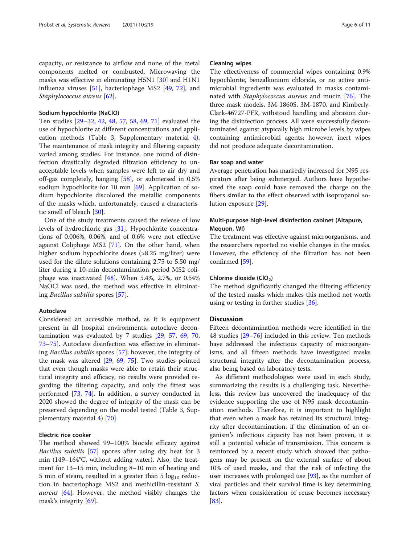capacity, or resistance to airflow and none of the metal components melted or combusted. Microwaving the masks was effective in eliminating H5N1 [\[30](#page-8-0)] and H1N1 influenza viruses [\[51](#page-9-0)], bacteriophage MS2 [\[49,](#page-9-0) [72](#page-9-0)], and Staphylococcus aureus [[62\]](#page-9-0).

#### Sodium hypochlorite (NaClO)

Ten studies [\[29](#page-8-0)–[32,](#page-8-0) [42](#page-8-0), [48,](#page-8-0) [57](#page-9-0), [58](#page-9-0), [69,](#page-9-0) [71](#page-9-0)] evaluated the use of hypochlorite at different concentrations and application methods (Table 3, Supplementary material [4](#page-7-0)). The maintenance of mask integrity and filtering capacity varied among studies. For instance, one round of disinfection drastically degraded filtration efficiency to unacceptable levels when samples were left to air dry and off-gas completely, hanging [[58\]](#page-9-0), or submersed in 0.5% sodium hypochlorite for 10 min [[69\]](#page-9-0). Application of sodium hypochlorite discolored the metallic components of the masks which, unfortunately, caused a characteristic smell of bleach [\[30](#page-8-0)].

One of the study treatments caused the release of low levels of hydrochloric gas [\[31\]](#page-8-0). Hypochlorite concentrations of 0.006%, 0.06%, and of 0.6% were not effective against Coliphage MS2 [\[71](#page-9-0)]. On the other hand, when higher sodium hypochlorite doses (>8.25 mg/liter) were used for the dilute solutions containing 2.75 to 5.50 mg/ liter during a 10-min decontamination period MS2 coliphage was inactivated [\[48](#page-8-0)]. When 5.4%, 2.7%, or 0.54% NaOCl was used, the method was effective in eliminating Bacillus subtilis spores [\[57](#page-9-0)].

#### Autoclave

Considered an accessible method, as it is equipment present in all hospital environments, autoclave decontamination was evaluated by 7 studies [[29](#page-8-0), [57](#page-9-0), [69,](#page-9-0) [70](#page-9-0), [73](#page-9-0)–[75](#page-9-0)]. Autoclave disinfection was effective in eliminating Bacillus subtilis spores [[57\]](#page-9-0); however, the integrity of the mask was altered [\[29](#page-8-0), [69](#page-9-0), [75](#page-9-0)]. Two studies pointed that even though masks were able to retain their structural integrity and efficacy, no results were provided regarding the filtering capacity, and only the fittest was performed [\[73,](#page-9-0) [74](#page-9-0)]. In addition, a survey conducted in 2020 showed the degree of integrity of the mask can be preserved depending on the model tested (Table 3, Supplementary material [4\)](#page-7-0) [[70\]](#page-9-0).

#### Electric rice cooker

The method showed 99–100% biocide efficacy against Bacillus subtilis [[57](#page-9-0)] spores after using dry heat for 3 min (149–164°C, without adding water). Also, the treatment for 13–15 min, including 8–10 min of heating and 5 min of steam, resulted in a greater than 5  $log_{10}$  reduction in bacteriophage MS2 and methicillin-resistant S. aureus [\[64\]](#page-9-0). However, the method visibly changes the mask's integrity [[69\]](#page-9-0).

#### Cleaning wipes

The effectiveness of commercial wipes containing 0.9% hypochlorite, benzalkonium chloride, or no active antimicrobial ingredients was evaluated in masks contami-nated with Staphylococcus aureus and mucin [[76\]](#page-9-0). The three mask models, 3M-1860S, 3M-1870, and Kimberly-Clark-46727-PFR, withstood handling and abrasion during the disinfection process. All were successfully decontaminated against atypically high microbe levels by wipes containing antimicrobial agents; however, inert wipes did not produce adequate decontamination.

#### Bar soap and water

Average penetration has markedly increased for N95 respirators after being submerged. Authors have hypothesized the soap could have removed the charge on the fibers similar to the effect observed with isopropanol solution exposure [[29](#page-8-0)].

#### Multi-purpose high-level disinfection cabinet (Altapure, Mequon, WI)

The treatment was effective against microorganisms, and the researchers reported no visible changes in the masks. However, the efficiency of the filtration has not been confirmed [[59](#page-9-0)].

#### Chlorine dioxide (ClO<sub>2</sub>)

The method significantly changed the filtering efficiency of the tested masks which makes this method not worth using or testing in further studies [[36\]](#page-8-0).

#### **Discussion**

Fifteen decontamination methods were identified in the 48 studies [\[29](#page-8-0)–[76\]](#page-9-0) included in this review. Ten methods have addressed the infectious capacity of microorganisms, and all fifteen methods have investigated masks structural integrity after the decontamination process, also being based on laboratory tests.

As different methodologies were used in each study, summarizing the results is a challenging task. Nevertheless, this review has uncovered the inadequacy of the evidence supporting the use of N95 mask decontamination methods. Therefore, it is important to highlight that even when a mask has retained its structural integrity after decontamination, if the elimination of an organism's infectious capacity has not been proven, it is still a potential vehicle of transmission. This concern is reinforced by a recent study which showed that pathogens may be present on the external surface of about 10% of used masks, and that the risk of infecting the user increases with prolonged use  $[93]$ , as the number of viral particles and their survival time is key determining factors when consideration of reuse becomes necessary [[83\]](#page-9-0).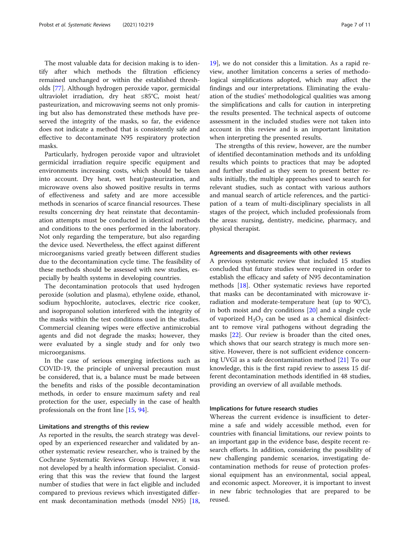The most valuable data for decision making is to identify after which methods the filtration efficiency remained unchanged or within the established thresholds [[77\]](#page-9-0). Although hydrogen peroxide vapor, germicidal ultraviolet irradiation, dry heat ≤85°C, moist heat/ pasteurization, and microwaving seems not only promising but also has demonstrated these methods have preserved the integrity of the masks, so far, the evidence does not indicate a method that is consistently safe and effective to decontaminate N95 respiratory protection masks.

Particularly, hydrogen peroxide vapor and ultraviolet germicidal irradiation require specific equipment and environments increasing costs, which should be taken into account. Dry heat, wet heat/pasteurization, and microwave ovens also showed positive results in terms of effectiveness and safety and are more accessible methods in scenarios of scarce financial resources. These results concerning dry heat reinstate that decontamination attempts must be conducted in identical methods and conditions to the ones performed in the laboratory. Not only regarding the temperature, but also regarding the device used. Nevertheless, the effect against different microorganisms varied greatly between different studies due to the decontamination cycle time. The feasibility of these methods should be assessed with new studies, especially by health systems in developing countries.

The decontamination protocols that used hydrogen peroxide (solution and plasma), ethylene oxide, ethanol, sodium hypochlorite, autoclaves, electric rice cooker, and isopropanol solution interfered with the integrity of the masks within the test conditions used in the studies. Commercial cleaning wipes were effective antimicrobial agents and did not degrade the masks; however, they were evaluated by a single study and for only two microorganisms.

In the case of serious emerging infections such as COVID-19, the principle of universal precaution must be considered, that is, a balance must be made between the benefits and risks of the possible decontamination methods, in order to ensure maximum safety and real protection for the user, especially in the case of health professionals on the front line [[15,](#page-8-0) [94\]](#page-10-0).

#### Limitations and strengths of this review

As reported in the results, the search strategy was developed by an experienced researcher and validated by another systematic review researcher, who is trained by the Cochrane Systematic Reviews Group. However, it was not developed by a health information specialist. Considering that this was the review that found the largest number of studies that were in fact eligible and included compared to previous reviews which investigated different mask decontamination methods (model N95) [[18](#page-8-0),

[19\]](#page-8-0), we do not consider this a limitation. As a rapid review, another limitation concerns a series of methodological simplifications adopted, which may affect the findings and our interpretations. Eliminating the evaluation of the studies' methodological qualities was among the simplifications and calls for caution in interpreting the results presented. The technical aspects of outcome assessment in the included studies were not taken into account in this review and is an important limitation when interpreting the presented results.

The strengths of this review, however, are the number of identified decontamination methods and its unfolding results which points to practices that may be adopted and further studied as they seem to present better results initially, the multiple approaches used to search for relevant studies, such as contact with various authors and manual search of article references, and the participation of a team of multi-disciplinary specialists in all stages of the project, which included professionals from the areas: nursing, dentistry, medicine, pharmacy, and physical therapist.

#### Agreements and disagreements with other reviews

A previous systematic review that included 15 studies concluded that future studies were required in order to establish the efficacy and safety of N95 decontamination methods [\[18\]](#page-8-0). Other systematic reviews have reported that masks can be decontaminated with microwave irradiation and moderate-temperature heat (up to 90°C), in both moist and dry conditions [[20\]](#page-8-0) and a single cycle of vaporized  $H_2O_2$  can be used as a chemical disinfectant to remove viral pathogens without degrading the masks [\[22\]](#page-8-0). Our review is broader than the cited ones, which shows that our search strategy is much more sensitive. However, there is not sufficient evidence concerning UVGI as a safe decontamination method [[21\]](#page-8-0) To our knowledge, this is the first rapid review to assess 15 different decontamination methods identified in 48 studies, providing an overview of all available methods.

#### Implications for future research studies

Whereas the current evidence is insufficient to determine a safe and widely accessible method, even for countries with financial limitations, our review points to an important gap in the evidence base, despite recent research efforts. In addition, considering the possibility of new challenging pandemic scenarios, investigating decontamination methods for reuse of protection professional equipment has an environmental, social appeal, and economic aspect. Moreover, it is important to invest in new fabric technologies that are prepared to be reused.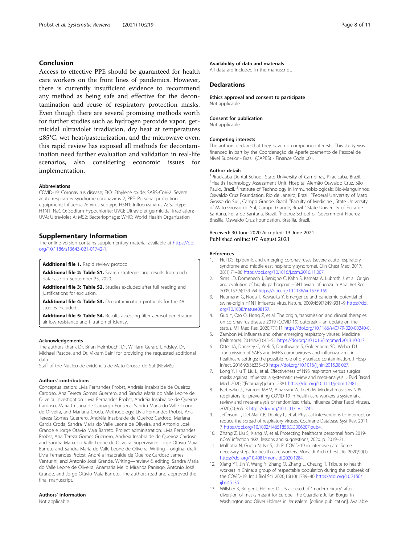#### <span id="page-7-0"></span>Conclusion

Access to effective PPE should be guaranteed for health care workers on the front lines of pandemics. However, there is currently insufficient evidence to recommend any method as being safe and effective for the decontamination and reuse of respiratory protection masks. Even though there are several promising methods worth for further studies such as hydrogen peroxide vapor, germicidal ultraviolet irradiation, dry heat at temperatures ≤85°C, wet heat/pasteurization, and the microwave oven, this rapid review has exposed all methods for decontamination need further evaluation and validation in real-life scenarios, also considering economic issues for implementation.

#### Abbreviations

COVID-19: Coronavirus disease; EtO: Ethylene oxide; SARS-CoV-2: Severe acute respiratory syndrome coronavirus 2; PPE: Personal protection equipment; Influenza A: Virus subtype H5N1; Influenza virus A: Subtype H1N1; NaClO: Sodium hypochlorite; UVGI: Ultraviolet germicidal irradiation; UVA: Ultraviolet A; MS2: Bacteriophage; WHO: World Health Organization

#### Supplementary Information

The online version contains supplementary material available at [https://doi.](https://doi.org/10.1186/s13643-021-01742-1) [org/10.1186/s13643-021-01742-1.](https://doi.org/10.1186/s13643-021-01742-1)

Additional file 1. Rapid review protocol.

Additional file 2: Table S1. Search strategies and results from each database on September 25, 2020.

Additional file 3: Table S2. Studies excluded after full reading and justifications for exclusion.

Additional file 4: Table S3. Decontamination protocols for the 48 studies included.

Additional file 5: Table S4. Results assessing filter aerosol penetration, airflow resistance and filtration efficiency.

#### Acknowledgements

The authors thank Dr. Brian Heimbuch, Dr. William Gerard Lindsley, Dr. Michael Pascoe, and Dr. Vikram Saini for providing the requested additional data.

Staff of the Núcleo de evidência de Mato Grosso do Sul (NEvMS).

#### Authors' contributions

Conceptualization: Livia Fernandes Probst, Andréia Insabralde de Queiroz Cardoso, Ana Tereza Gomes Guerrero, and Sandra Maria do Valle Leone de Oliveira. Investigation: Livia Fernandes Probst, Andréia Insabralde de Queiroz Cardoso, Maria Cristina de Camargo Fonseca, Sandra Maria do Valle Leone de Oliveira, and Mariana Croda. Methodology: Livia Fernandes Probst, Ana Tereza Gomes Guerrero, Andréia Insabralde de Queiroz Cardoso, Mariana Garcia Croda, Sandra Maria do Valle Leone de Oliveira, and Antonio José Grande e Jorge Otávio Maia Barreto. Project administration: Livia Fernandes Probst, Ana Tereza Gomes Guerrero, Andréia Insabralde de Queiroz Cardoso, and Sandra Maria do Valle Leone de Oliveira. Supervision: Jorge Otávio Maia Barreto and Sandra Maria do Valle Leone de Oliveira. Writing—original draft: Livia Fernandes Probst, Andréia Insabralde de Queiroz Cardoso James Venturini, and Antonio José Grande. Writing—review & editing: Sandra Maria do Valle Leone de Oliveira, Anamaria Mello Miranda Paniago, Antonio José Grande, and Jorge Otávio Maia Barreto. The authors read and approved the final manuscript.

#### Authors' information

Not applicable.

#### Availability of data and materials

All data are included in the manuscript.

#### **Declarations**

Ethics approval and consent to participate Not applicable.

#### Consent for publication

Not applicable.

#### Competing interests

The authors declare that they have no competing interests. This study was financed in part by the Coordenação de Aperfeiçoamento de Pessoal de Nível Superior - Brasil (CAPES) - Finance Code 001.

#### Author details

<sup>1</sup> Piracicaba Dental School, State University of Campinas, Piracicaba, Brazil. 2 Health Technology Assessment Unit, Hospital Alemão Oswaldo Cruz, São Paulo, Brazil. <sup>3</sup>Institute of Technology in Immunobiologicals: Bio-Manguinhos. Oswaldo Cruz Foundation, Rio de Janeiro, Brazil. <sup>4</sup>Federal University of Matc Grosso do Sul, Campo Grande, Brazil. <sup>5</sup>Faculty of Medicine, State University of Mato Grosso do Sul, Campo Grande, Brazil. <sup>6</sup>State University of Feira de Santana, Feira de Santana, Brazil. <sup>7</sup> Fiocruz School of Government Fiocruz Brasília, Oswaldo Cruz Foundation, Brasília, Brazil.

#### Received: 30 June 2020 Accepted: 13 June 2021 Published online: 07 August 2021

#### References

- 1. Hui DS. Epidemic and emerging coronaviruses (severe acute respiratory syndrome and middle east respiratory syndrome). Clin Chest Med. 2017; 38(1):71–86 <https://doi.org/10.1016/j.ccm.2016.11.007>.
- 2. Sims LD, Domenech J, Benigno C, Kahn S, Kamata A, Lubroth J, et al. Origin and evolution of highly pathogenic H5N1 avian influenza in Asia. Vet Rec. 2005;157(6):159–64 [https://doi.org/10.1136/vr.157.6.159.](https://doi.org/10.1136/vr.157.6.159)
- 3. Neumann G, Noda T, Kawaoka Y. Emergence and pandemic potential of swine-origin H1N1 influenza virus. Nature. 2009;459(7249):931–9 [https://doi.](https://doi.org/10.1038/nature08157) [org/10.1038/nature08157](https://doi.org/10.1038/nature08157).
- 4. Guo Y, Cao Q, Hong Z, et al. The origin, transmission and clinical therapies on coronavirus disease 2019 (COVID-19) outbreak – an update on the status. Mil Med Res. 2020;7(1):11 <https://doi.org/10.1186/s40779-020-00240-0>.
- 5. Zambon M. Influenza and other emerging respiratory viruses. Medicine (Baltimore). 2014;42(1):45–51 [https://doi.org/10.1016/j.mpmed.2013.10.017.](https://doi.org/10.1016/j.mpmed.2013.10.017)
- 6. Otter JA, Donskey C, Yezli S, Douthwaite S, Goldenberg SD, Weber DJ. Transmission of SARS and MERS coronaviruses and influenza virus in healthcare settings: the possible role of dry surface contamination. J Hosp Infect. 2016;92(3):235–50 <https://doi.org/10.1016/j.jhin.2015.08.027>.
- 7. Long Y, Hu T, Liu L, et al. Effectiveness of N95 respirators versus surgical masks against influenza: a systematic review and meta-analysis. J Evid Based Med. 2020;2(February):jebm.12381 [https://doi.org/10.1111/jebm.12381.](https://doi.org/10.1111/jebm.12381)
- Bartoszko JJ, Farooqi MAM, Alhazzani W, Loeb M. Medical masks vs N95 respirators for preventing COVID-19 in health care workers a systematic review and meta-analysis of randomized trials. Influenza Other Respi Viruses. 2020;(4):365–3 <https://doi.org/10.1111/irv.12745>.
- 9. Jefferson T, Del Mar CB, Dooley L, et al. Physical interventions to interrupt or reduce the spread of respiratory viruses. Cochrane Database Syst Rev. 2011; 7 <https://doi.org/10.1002/14651858.CD006207.pub4>.
- 10. Zhang Z, Liu S, Xiang M, et al. Protecting healthcare personnel from 2019 nCoV infection risks: lessons and suggestions; 2020. p. 2019–21.
- 11. Malhotra N, Gupta N, Ish S, Ish P. COVID-19 in intensive care. Some necessary steps for health care workers. Monaldi Arch Chest Dis. 2020;90(1) [https://doi.org/10.4081/monaldi.2020.1284.](https://doi.org/10.4081/monaldi.2020.1284)
- 12. Xiang YT, Jin Y, Wang Y, Zhang Q, Zhang L, Cheung T. Tribute to health workers in China: a group of respectable population during the outbreak of the COVID-19. Int J Biol Sci. 2020;16(10):1739–40 [https://doi.org/10.7150/](https://doi.org/10.7150/ijbs.45135) [ijbs.45135](https://doi.org/10.7150/ijbs.45135).
- 13. Willsher K, Borger J, Holmes O. US accused of "modern piracy" after diversion of masks meant for Europe. The Guardian: Julian Borger in Washington and Oliver Holmes in Jerusalem. [online publication]. Available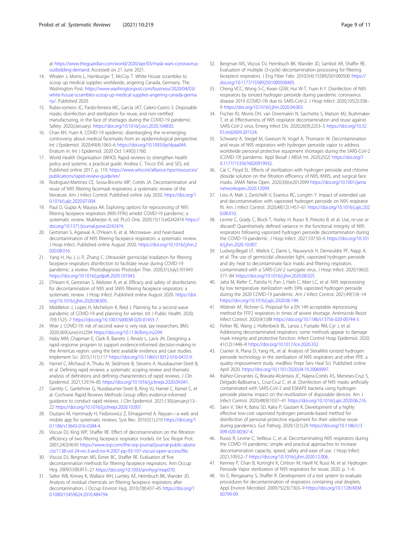<span id="page-8-0"></span>at [https://www.theguardian.com/world/2020/apr/03/mask-wars-coronavirus](https://www.theguardian.com/world/2020/apr/03/mask-wars-coronavirus-outbidding-demand)[outbidding-demand](https://www.theguardian.com/world/2020/apr/03/mask-wars-coronavirus-outbidding-demand). Accessed on 21 June 2021.

- 14. Whalen J, Morris L, Hamburger T, McCoy T. White House scrambles to scoop up medical supplies worldwide, angering Canada, Germany. The Washington Post. [https://www.washingtonpost.com/business/2020/04/03/](https://www.washingtonpost.com/business/2020/04/03/white-house-scrambles-scoop-up-medical-supplies-angering-canada-germany/) [white-house-scrambles-scoop-up-medical-supplies-angering-canada-germa](https://www.washingtonpost.com/business/2020/04/03/white-house-scrambles-scoop-up-medical-supplies-angering-canada-germany/) [ny/](https://www.washingtonpost.com/business/2020/04/03/white-house-scrambles-scoop-up-medical-supplies-angering-canada-germany/). Published 2020.
- 15. Rubio-romero JC, Pardo-ferreira MC, García JAT, Calero-Castro S. Disposable masks: disinfection and sterilization for reuse, and non-certified manufacturing, in the face of shortages during the COVID-19 pandemic. Safety. 2020;(January). [https://doi.org/10.1016/j.ssci.2020.104830.](https://doi.org/10.1016/j.ssci.2020.104830)
- 16. Chan KH, Yuen K. COVID-19 epidemic: disentangling the re-emerging controversy about medical facemasks from an epidemiological perspective. Int J Epidemiol. 2020;49(4):1063–6 [https://doi.org/10.1093/ije/dyaa044.](https://doi.org/10.1093/ije/dyaa044) Erratum in: Int J Epidemiol. 2020 Oct 1;49(5):1760.
- 17. World Health Organisation (WHO). Rapid reviews to strengthen health policy and systems: a practical guide. Andrea C. Tricco EVL and SES, ed. Published online 2017. p. 119. [https://www.who.int/alliance-hpsr/resources/](https://www.who.int/alliance-hpsr/resources/publications/rapid-review-guide/en/) [publications/rapid-review-guide/en/](https://www.who.int/alliance-hpsr/resources/publications/rapid-review-guide/en/)
- 18. Rodriguez-Martinez CE, Sossa-Briceño MP, Cortés JA. Decontamination and reuse of N95 filtering facemask respirators: a systematic review of the literature. Am J Infect Control. Published online July 2020. [https://doi.org/1](https://doi.org/10.1016/j.ajic.2020.07.004) [0.1016/j.ajic.2020.07.004.](https://doi.org/10.1016/j.ajic.2020.07.004)
- 19. Paul D, Gupta A, Maurya AK. Exploring options for reprocessing of N95 filtering facepiece respirators (N95-FFRs) amidst COVID-19 pandemic: a systematic review. Mukherjee A, ed. PLoS One. 2020;15(11):e0242474 [https://](https://doi.org/10.1371/journal.pone.0242474) [doi.org/10.1371/journal.pone.0242474.](https://doi.org/10.1371/journal.pone.0242474)
- 20. Gertsman S, Agarwal A, O'Hearn K, et al. Microwave- and heat-based decontamination of N95 filtering facepiece respirators: a systematic review. J Hosp Infect. Published online August 2020. [https://doi.org/10.1016/j.jhin.2](https://doi.org/10.1016/j.jhin.2020.08.016) [020.08.016](https://doi.org/10.1016/j.jhin.2020.08.016).
- 21. Yang H, Hu J, Li P, Zhang C. Ultraviolet germicidal irradiation for filtering facepiece respirators disinfection to facilitate reuse during COVID-19 pandemic: a review. Photodiagnosis Photodyn Ther. 2020;31(July):101943 [https://doi.org/10.1016/j.pdpdt.2020.101943.](https://doi.org/10.1016/j.pdpdt.2020.101943)
- 22. O'Hearn K, Gertsman S, Webster R, et al. Efficacy and safety of disinfectants for decontamination of N95 and SN95 filtering facepiece respirators: a systematic review. J Hosp Infect. Published online August 2020. [https://doi.](https://doi.org/10.1016/j.jhin.2020.08.005) [org/10.1016/j.jhin.2020.08.005](https://doi.org/10.1016/j.jhin.2020.08.005).
- 23. Middleton J, Lopes H, Michelson K, Reid J. Planning for a second wave pandemic of COVID-19 and planning for winter. Int J Public Health. 2020; 7(9):1525–7 <https://doi.org/10.1007/s00038-020-01455-7>.
- 24. Wise J. COVID-19: risk of second wave is very real, say researchers. BMJ. 2020;369(June):m2294 [https://doi.org/10.1136/bmj.m2294.](https://doi.org/10.1136/bmj.m2294)
- 25. Haby MM, Chapman E, Clark R, Barreto J, Reveiz L, Lavis JN. Designing a rapid response program to support evidence-informed decision-making in the Americas region: using the best available evidence and case studies. Implement Sci. 2015;11(1):117 [https://doi.org/10.1186/s13012-016-0472-9.](https://doi.org/10.1186/s13012-016-0472-9)
- 26. Hamel C, Michaud A, Thuku M, Skidmore B, Stevens A, Nussbaumer-Streit B, et al. Defining rapid reviews: a systematic scoping review and thematic analysis of definitions and defining characteristics of rapid reviews. J Clin Epidemiol. 2021;129:74–85 <https://doi.org/10.1016/j.jclinepi.2020.09.041>.
- 27. Garritty C, Gartlehner G, Nussbaumer-Streit B, King VJ, Hamel C, Kamel C, et al. Cochrane Rapid Reviews Methods Group offers evidence-informed guidance to conduct rapid reviews. J Clin Epidemiol. 2021;130(January):13– 22 [https://doi.org/10.1016/j.jclinepi.2020.10.007.](https://doi.org/10.1016/j.jclinepi.2020.10.007)
- 28. Ouzzani M, Hammady H, Fedorowicz Z, Elmagarmid A. Rayyan—a web and mobile app for systematic reviews. Syst Rev. 2016;5(1):210 [https://doi.org/1](https://doi.org/10.1186/s13643-016-0384-4) [0.1186/s13643-016-0384-4.](https://doi.org/10.1186/s13643-016-0384-4)
- 29. Viscusi DJ, King WP, Shaffer RE. Effect of decontamination on the filtration efficiency of two filtering facepiece respirator models. Int Soc Respir Prot. 2007;24(3/4):93 [https://www.isrp.com/the-isrp-journal/journal-public-abstra](https://www.isrp.com/the-isrp-journal/journal-public-abstracts/1138-vol-24-no-3-and-no-4-2007-pp-93-107-viscusi-open-access/file) [cts/1138-vol-24-no-3-and-no-4-2007-pp-93-107-viscusi-open-access/file.](https://www.isrp.com/the-isrp-journal/journal-public-abstracts/1138-vol-24-no-3-and-no-4-2007-pp-93-107-viscusi-open-access/file)
- 30. Viscusi DJ, Bergman MS, Eimer BC, Shaffer RE. Evaluation of five decontamination methods for filtering facepiece respirators. Ann Occup Hyg. 2009;53(8):815–27 [https://doi.org/10.1093/annhyg/mep070.](https://doi.org/10.1093/annhyg/mep070)
- 31. Salter WB, Kinney K, Wallace WH, Lumley AE, Heimbuch BK, Wander JD. Analysis of residual chemicals on filtering facepiece respirators after decontamination. J Occup Environ Hyg. 2010;7(8):437–45 [https://doi.org/1](https://doi.org/10.1080/15459624.2010.484794) [0.1080/15459624.2010.484794](https://doi.org/10.1080/15459624.2010.484794).
- 32. Bergman MS, Viscusi DJ, Heimbuch BK, Wander JD, Sambol AR, Shaffer RE. Evaluation of multiple (3-cycle) decontamination processing for filtering facepiece respirators. J Eng Fiber Fabr. 2010;5(4):155892501000500 [https://](https://doi.org/10.1177/155892501000500405) [doi.org/10.1177/155892501000500405.](https://doi.org/10.1177/155892501000500405)
- 33. Cheng VCC, Wong S-C, Kwan GSW, Hui W-T, Yuen K-Y. Disinfection of N95 respirators by ionized hydrogen peroxide during pandemic coronavirus disease 2019 (COVID-19) due to SARS-CoV-2. J Hosp Infect. 2020;105(2):358– 9 [https://doi.org/10.1016/j.jhin.2020.04.003.](https://doi.org/10.1016/j.jhin.2020.04.003)
- 34. Fischer RJ, Morris DH, van Doremalen N, Sarchette S, Matson MJ, Bushmaker T, et al. Effectiveness of N95 respirator decontamination and reuse against SARS-CoV-2 virus. Emerg Infect Dis. 2020;26(9):2253–5 [https://doi.org/10.32](https://doi.org/10.3201/eid2609.201524) [01/eid2609.201524](https://doi.org/10.3201/eid2609.201524).
- 35. Schwartz A, Stiegel M, Greeson N, Vogel A, Thomann W. Decontamination and reuse of N95 respirators with hydrogen peroxide vapor to address worldwide personal protective equipment shortages during the SARS-CoV-2 (COVID-19) pandemic. Appl Biosaf J ABSA Int. 2020;25(2) [https://doi.org/1](https://doi.org/10.1177/1535676020919932) [0.1177/1535676020919932](https://doi.org/10.1177/1535676020919932).
- 36. Cai C, Floyd EL. Effects of sterilization with hydrogen peroxide and chlorine dioxide solution on the filtration efficiency of N95, KN95, and surgical face masks. JAMA Netw Open. 2020;3(6):e2012099 [https://doi.org/10.1001/jama](https://doi.org/10.1001/jamanetworkopen.2020.12099) [networkopen.2020.12099.](https://doi.org/10.1001/jamanetworkopen.2020.12099)
- 37. Lieu A, Mah J, Zanichelli V, Exantus RC, Longtin Y. Impact of extended use and decontamination with vaporized hydrogen peroxide on N95 respirator fit. Am J Infect Control. 2020;48(12):1457–61 [https://doi.org/10.1016/j.ajic.202](https://doi.org/10.1016/j.ajic.2020.08.010) [0.08.010.](https://doi.org/10.1016/j.ajic.2020.08.010)
- 38. Levine C, Grady C, Block T, Hurley H, Russo R, Peixoto B, et al. Use, re-use or discard? Quantitatively defined variance in the functional integrity of N95 respirators following vaporized hydrogen peroxide decontamination during the COVID-19 pandemic. J Hosp Infect. 2021;107:50–6 [https://doi.org/10.101](https://doi.org/10.1016/j.jhin.2020.10.007) [6/j.jhin.2020.10.007](https://doi.org/10.1016/j.jhin.2020.10.007).
- 39. Ludwig-Begall LF, Wielick C, Dams L, Nauwynck H, Demeuldre PF, Napp A, et al. The use of germicidal ultraviolet light, vaporized hydrogen peroxide and dry heat to decontaminate face masks and filtering respirators contaminated with a SARS-CoV-2 surrogate virus. J Hosp Infect. 2020;106(3): 577–84 <https://doi.org/10.1016/j.jhin.2020.08.025>.
- Jatta M, Kiefer C, Patolia H, Pan J, Harb C, Marr LC, et al. N95 reprocessing by low temperature sterilization with 59% vaporized hydrogen peroxide during the 2020 COVID-19 pandemic. Am J Infect Control. 2021;49(1):8–14 <https://doi.org/10.1016/j.ajic.2020.06.194>.
- 41. Widmer AF, Richner G. Proposal for a EN 149 acceptable reprocessing method for FFP2 respirators in times of severe shortage. Antimicrob Resist Infect Control. 2020;9(1):88 <https://doi.org/10.1186/s13756-020-00744-3>.
- 42. Peltier RE, Wang J, Hollenbeck BL, Lanza J, Furtado RM, Cyr J, et al. Addressing decontaminated respirators: some methods appear to damage mask integrity and protective function. Infect Control Hosp Epidemiol. 2020; 41(12):1446–8 [https://doi.org/10.1017/ice.2020.332.](https://doi.org/10.1017/ice.2020.332)
- 43. Cramer A, Plana D, Yang HL, et al. Analysis of SteraMist ionized hydrogen peroxide technology in the sterilization of N95 respirators and other PPE: a quality improvement study. medRxiv Prepr Serv Heal Sci. Published online April 2020. <https://doi.org/10.1101/2020.04.19.20069997>.
- 44. Ibáñez-Cervantes G, Bravata-Alcántara JC, Nájera-Cortés AS, Meneses-Cruz S, Delgado-Balbuena L, Cruz-Cruz C, et al. Disinfection of N95 masks artificially contaminated with SARS-CoV-2 and ESKAPE bacteria using hydrogen peroxide plasma: impact on the reutilization of disposable devices. Am J Infect Control. 2020;48(9):1037–41 [https://doi.org/10.1016/j.ajic.2020.06.216.](https://doi.org/10.1016/j.ajic.2020.06.216)
- 45. Saini V, Sikri K, Batra SD, Kalra P, Gautam K. Development of a highly effective low-cost vaporized hydrogen peroxide-based method for disinfection of personal protective equipment for their selective reuse during pandemics. Gut Pathog. 2020;12(1):29 [https://doi.org/10.1186/s13](https://doi.org/10.1186/s13099-020-00367-4) [099-020-00367-4.](https://doi.org/10.1186/s13099-020-00367-4)
- 46. Russo R, Levine C, Veilleux C, et al. Decontaminating N95 respirators during the COVID-19 pandemic: simple and practical approaches to increase decontamination capacity, speed, safety and ease of use. J Hosp Infect. 2021;109:52–7 [https://doi.org/10.1016/j.jhin.2020.12.006.](https://doi.org/10.1016/j.jhin.2020.12.006)
- 47. Kenney P, Chan B, Kortright K, Cintron M, Havill N, Russi M, et al. Hydrogen Peroxide Vapor sterilization of N95 respirators for reuse; 2020. p. 1–6.
- 48. Vo E, Rengasamy S, Shaffer R. Development of a test system to evaluate procedures for decontamination of respirators containing viral droplets. Appl Environ Microbiol. 2009;75(23):7303–9 [https://doi.org/10.1128/AEM.](https://doi.org/10.1128/AEM.00799-09) [00799-09.](https://doi.org/10.1128/AEM.00799-09)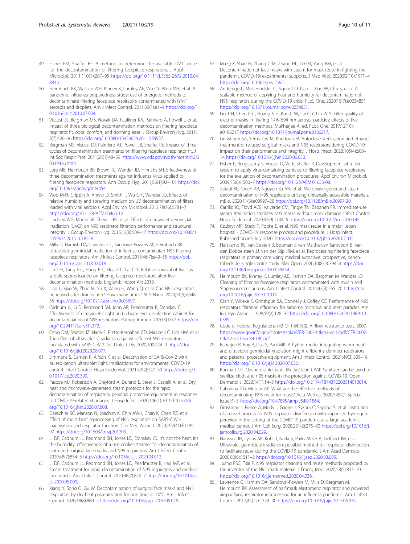- <span id="page-9-0"></span>49. Fisher EM, Shaffer RE. A method to determine the available UV-C dose for the decontamination of filtering facepiece respirators. J Appl Microbiol. 2011;110(1):287–95 [https://doi.org/10.1111/j.1365-2672.2010.04](https://doi.org/10.1111/j.1365-2672.2010.04881.x) [881.x.](https://doi.org/10.1111/j.1365-2672.2010.04881.x)
- 50. Heimbuch BK, Wallace WH, Kinney K, Lumley AE, Wu CY, Woo MH, et al. A pandemic influenza preparedness study: use of energetic methods to decontaminate filtering facepiece respirators contaminated with h1n1 aerosols and droplets. Am J Infect Control. 2011;39(1):e1–9 [https://doi.org/1](https://doi.org/10.1016/j.ajic.2010.07.004) [0.1016/j.ajic.2010.07.004.](https://doi.org/10.1016/j.ajic.2010.07.004)
- 51. Viscusi DJ, Bergman MS, Novak DA, Faulkner KA, Palmiero A, Powell J, et al. Impact of three biological decontamination methods on filtering facepiece respirator fit, odor, comfort, and donning ease. J Occup Environ Hyg. 2011; 8(7):426–36 <https://doi.org/10.1080/15459624.2011.585927>.
- 52. Bergman MS, Viscusi DJ, Palmiero AJ, Powell JB, Shaffer RE. Impact of three cycles of decontamination treatments on filtering facepiece respirator fit. J Int Soc Respir Prot. 2011;28(1):48–59 [https://www.cdc.gov/niosh/nioshtic-2/2](https://www.cdc.gov/niosh/nioshtic-2/20039426.html) [0039426.html.](https://www.cdc.gov/niosh/nioshtic-2/20039426.html)
- 53. Lore MB, Heimbuch BK, Brown TL, Wander JD, Hinrichs SH. Effectiveness of three decontamination treatments against influenza virus applied to filtering facepiece respirators. Ann Occup Hyg. 2011;56(1):92–101 [https://doi.](https://doi.org/10.1093/annhyg/mer054) [org/10.1093/annhyg/mer054](https://doi.org/10.1093/annhyg/mer054).
- 54. Woo M-H, Grippin A, Anwar D, Smith T, Wu C-Y, Wander JD. Effects of relative humidity and spraying medium on UV decontamination of filters loaded with viral aerosols. Appl Environ Microbiol. 2012;78(16):5781–7 [https://doi.org/10.1128/AEM.00465-12.](https://doi.org/10.1128/AEM.00465-12)
- 55. Lindsley WG, Martin SB, Thewlis RE, et al. Effects of ultraviolet germicidal irradiation (UVGI) on N95 respirator filtration performance and structural integrity. J Occup Environ Hyg. 2015;12(8):509–17 [https://doi.org/10.1080/1](https://doi.org/10.1080/15459624.2015.1018518) [5459624.2015.1018518](https://doi.org/10.1080/15459624.2015.1018518).
- 56. Mills D, Harnish DA, Lawrence C, Sandoval-Powers M, Heimbuch BK. Ultraviolet germicidal irradiation of influenza-contaminated N95 filtering facepiece respirators. Am J Infect Control. 2018;46(7):e49–55 [https://doi.](https://doi.org/10.1016/j.ajic.2018.02.018) [org/10.1016/j.ajic.2018.02.018](https://doi.org/10.1016/j.ajic.2018.02.018).
- 57. Lin T-H, Tang F-C, Hung P-C, Hua Z-C, Lai C-Y. Relative survival of Bacillus subtilis spores loaded on filtering facepiece respirators after five decontamination methods. England: Indoor Air; 2018.
- 58. Liao L, Xiao W, Zhao M, Yu X, Wang H, Wang Q, et al. Can N95 respirators be reused after disinfection? How many times? ACS Nano. 2020;14(5):6348– 56 <https://doi.org/10.1021/acsnano.0c03597>.
- 59. Cadnum JL, Li D, Redmond SN, John AR, Pearlmutter B, Donskey C. Effectiveness of ultraviolet-c light and a high-level disinfection cabinet for decontamination of N95 respirators. Pathog Immun. 2020;5(1):52 [https://doi.](https://doi.org/10.20411/pai.v5i1.372) [org/10.20411/pai.v5i1.372.](https://doi.org/10.20411/pai.v5i1.372)
- 60. Ozog DM, Sexton JZ, Narla S, Pretto-Kernahan CD, Mirabelli C, Lim HW, et al. The effect of ultraviolet C radiation against different N95 respirators inoculated with SARS-CoV-2. Int J Infect Dis. 2020;100:224–9 [https://doi.](https://doi.org/10.1016/j.ijid.2020.08.077) [org/10.1016/j.ijid.2020.08.077](https://doi.org/10.1016/j.ijid.2020.08.077).
- 61. Simmons S, Carrion R, Alfson K, et al. Deactivation of SARS-CoV-2 with pulsed-xenon ultraviolet light: implications for environmental COVID-19 control. Infect Control Hosp Epidemiol. 2021;42(2):127–30 [https://doi.org/1](https://doi.org/10.1017/ice.2020.399) [0.1017/ice.2020.399.](https://doi.org/10.1017/ice.2020.399)
- 62. Pascoe MJ, Robertson A, Crayford A, Durand E, Steer J, Castelli A, et al. Dry heat and microwave-generated steam protocols for the rapid decontamination of respiratory personal protective equipment in response to COVID-19-related shortages. J Hosp Infect. 2020;106(1):10–9 [https://doi.](https://doi.org/10.1016/j.jhin.2020.07.008) [org/10.1016/j.jhin.2020.07.008](https://doi.org/10.1016/j.jhin.2020.07.008).
- 63. Daeschler SC, Manson N, Joachim K, Chin AWH, Chan K, Chen PZ, et al. Effect of moist heat reprocessing of N95 respirators on SARS-CoV-2 inactivation and respirator function. Can Med Assoc J. 2020;192(41):E1189– 97 <https://doi.org/10.1503/cmaj.201203>.
- 64. Li DF, Cadnum JL, Redmond SN, Jones LD, Donskey CJ. It's not the heat, it's the humidity: effectiveness of a rice cooker-steamer for decontamination of cloth and surgical face masks and N95 respirators. Am J Infect Control. 2020;48(7):854–5 <https://doi.org/10.1016/j.ajic.2020.04.012>.
- 65. Li DF, Cadnum JL, Redmond SN, Jones LD, Pearlmutter B, Haq MF, et al. Steam treatment for rapid decontamination of N95 respirators and medical face masks. Am J Infect Control. 2020;48(7):855–7 [https://doi.org/10.1016/j.a](https://doi.org/10.1016/j.ajic.2020.05.009) [jic.2020.05.009](https://doi.org/10.1016/j.ajic.2020.05.009).
- 66. Xiang Y, Song Q, Gu W. Decontamination of surgical face masks and N95 respirators by dry heat pasteurization for one hour at 70°C. Am J Infect Control. 2020;48(8):880–2 [https://doi.org/10.1016/j.ajic.2020.05.026.](https://doi.org/10.1016/j.ajic.2020.05.026)
- 67. Ma Q-X, Shan H, Zhang C-M, Zhang HL, Li GM, Yang RM, et al. Decontamination of face masks with steam for mask reuse in fighting the pandemic COVID-19: experimental supports. J Med Virol. 2020;92(10):1971–4 [https://doi.org/10.1002/jmv.25921.](https://doi.org/10.1002/jmv.25921)
- 68. Anderegg L, Meisenhelder C, Ngooi CO, Liao L, Xiao W, Chu S, et al. A scalable method of applying heat and humidity for decontamination of N95 respirators during the COVID-19 crisis. PLoS One. 2020;15(7):e0234851 [https://doi.org/10.1371/journal.pone.0234851.](https://doi.org/10.1371/journal.pone.0234851)
- 69. Lin T-H, Chen C-C, Huang S-H, Kuo C-W, Lai C-Y, Lin W-Y. Filter quality of electret masks in filtering 14.6–594 nm aerosol particles: effects of five decontamination methods. Mukherjee A, ed. PLoS One. 2017;12(10): e0186217 <https://doi.org/10.1371/journal.pone.0186217>.
- 70. Grinshpun SA, Yermakov M, Khodoun M. Autoclave sterilization and ethanol treatment of re-used surgical masks and N95 respirators during COVID-19: impact on their performance and integrity. J Hosp Infect. 2020;105(4):608– 14 <https://doi.org/10.1016/j.jhin.2020.06.030>.
- 71. Fisher E, Rengasamy S, Viscusi D, Vo E, Shaffer R. Development of a test system to apply virus-containing particles to filtering facepiece respirators for the evaluation of decontamination procedures. Appl Environ Microbiol. 2009;75(6):1500–7 [https://doi.org/10.1128/AEM.01653-08.](https://doi.org/10.1128/AEM.01653-08)
- 72. Zulauf KE, Green AB, Nguyen Ba AN, et al. Microwave-generated steam decontamination of N95 respirators utilizing universally accessible materials. mBio. 2020;11(3):e00997–20 [https://doi.org/10.1128/mBio.00997-20.](https://doi.org/10.1128/mBio.00997-20)
- 73. Carrillo IO, Floyd ACE, Valverde CM, Tingle TN, Zabaneh FR. Immediate-use steam sterilization sterilizes N95 masks without mask damage. Infect Control Hosp Epidemiol. 2020;41(9):1104–5 [https://doi.org/10.1017/ice.2020.145.](https://doi.org/10.1017/ice.2020.145)
- 74. Czubryt MP, Stecy T, Popke E, et al. N95 mask reuse in a major urban hospital - COVID-19 response process and procedure. J Hosp Infect. Published online July 2020. <https://doi.org/10.1016/j.jhin.2020.07.035>
- 75. Harskamp RE, van Straten B, Bouman J, van Maltha-van Santvoort B, van den Dobbelsteen JJ, van der Sijp JRM, et al. Reprocessing filtering facepiece respirators in primary care using medical autoclave: prospective, benchtobedside, single-centre study. BMJ Open. 2020;10(8):e039454 [https://doi.](https://doi.org/10.1136/bmjopen-2020-039454) [org/10.1136/bmjopen-2020-039454](https://doi.org/10.1136/bmjopen-2020-039454).
- 76. Heimbuch BK, Kinney K, Lumley AE, Harnish DA, Bergman M, Wander JD. Cleaning of filtering facepiece respirators contaminated with mucin and Staphylococcus aureus. Am J Infect Control. 2014;42(3):265–70 [https://doi.](https://doi.org/10.1016/j.ajic.2013.09.014) [org/10.1016/j.ajic.2013.09.014](https://doi.org/10.1016/j.ajic.2013.09.014).
- 77. Qian Y, Willeke K, Grinshpun SA, Donnelly J, Coffey CC. Performance of N95 respirators: filtration efficiency for airborne microbial and inert particles. Am Ind Hyg Assoc J. 1998;59(2):128–32 [https://doi.org/10.1080/1542811989101](https://doi.org/10.1080/15428119891010389) [0389](https://doi.org/10.1080/15428119891010389).
- 78. Code of Federal Regulations (42 CFR 84.180). Airflow resistance tests. 2007. [https://www.govinfo.gov/content/pkg/CFR-2007-title42-vol1/pdf/CFR-2007](https://www.govinfo.gov/content/pkg/CFR-2007-title42-vol1/pdf/CFR-2007-title42-vol1-sec84-180.pdf) [title42-vol1-sec84-180.pdf](https://www.govinfo.gov/content/pkg/CFR-2007-title42-vol1/pdf/CFR-2007-title42-vol1-sec84-180.pdf).
- 79. Banerjee R, Roy P, Das S, Paul MK. A hybrid model integrating warm heat and ultraviolet germicidal irradiation might efficiently disinfect respirators and personal protective equipment. Am J Infect Control. 2021;49(3):309–18 <https://doi.org/10.1016/j.ajic.2020.07.022>.
- 80. Burkhart CG. Ozone disinfectants like SoClean CPAP Sanitizer can be used to sterilize cloth and n95 masks in the protection against COVID-19. Open Dermatol J. 2020;14(1):14–5 <https://doi.org/10.2174/1874372202014010014>.
- 81. Cabaluna ITG, Melicor AF. What are the effective methods of decontaminating N95 mask for reuse? Acta Medica. 2020;5454(1 Special Issue):1–5 <https://doi.org/10.47895/amp.v54i0.1564>.
- 82. Grossman J, Pierce A, Mody J, Gagne J, Sykora C, Sayood S, et al. Institution of a novel process for N95 respirator disinfection with vaporized hydrogen peroxide in the setting of the COVID-19 pandemic at a large academic medical center. J Am Coll Surg. 2020;231(2):275–80 [https://doi.org/10.1016/j.](https://doi.org/10.1016/j.jamcollsurg.2020.04.029) [jamcollsurg.2020.04.029.](https://doi.org/10.1016/j.jamcollsurg.2020.04.029)
- 83. Hamzavi IH, Lyons AB, Kohli I, Narla S, Parks-Miller A, Gelfand JM, et al. Ultraviolet germicidal irradiation: possible method for respirator disinfection to facilitate reuse during the COVID-19 pandemic. J Am Acad Dermatol. 2020;82(6):1511–2 <https://doi.org/10.1016/j.jaad.2020.03.085>.
- 84. Juang PSC, Tsai P. N95 respirator cleaning and reuse methods proposed by the inventor of the N95 mask material. J Emerg Med. 2020;58(5):817–20 <https://doi.org/10.1016/j.jemermed.2020.04.036>.
- 85. Lawrence C, Harnish DA, Sandoval-Powers M, Mills D, Bergman M, Heimbuch BK. Assessment of half-mask elastomeric respirator and powered air-purifying respirator reprocessing for an influenza pandemic. Am J Infect Control. 2017;45(12):1324–30 <https://doi.org/10.1016/j.ajic.2017.06.034>.